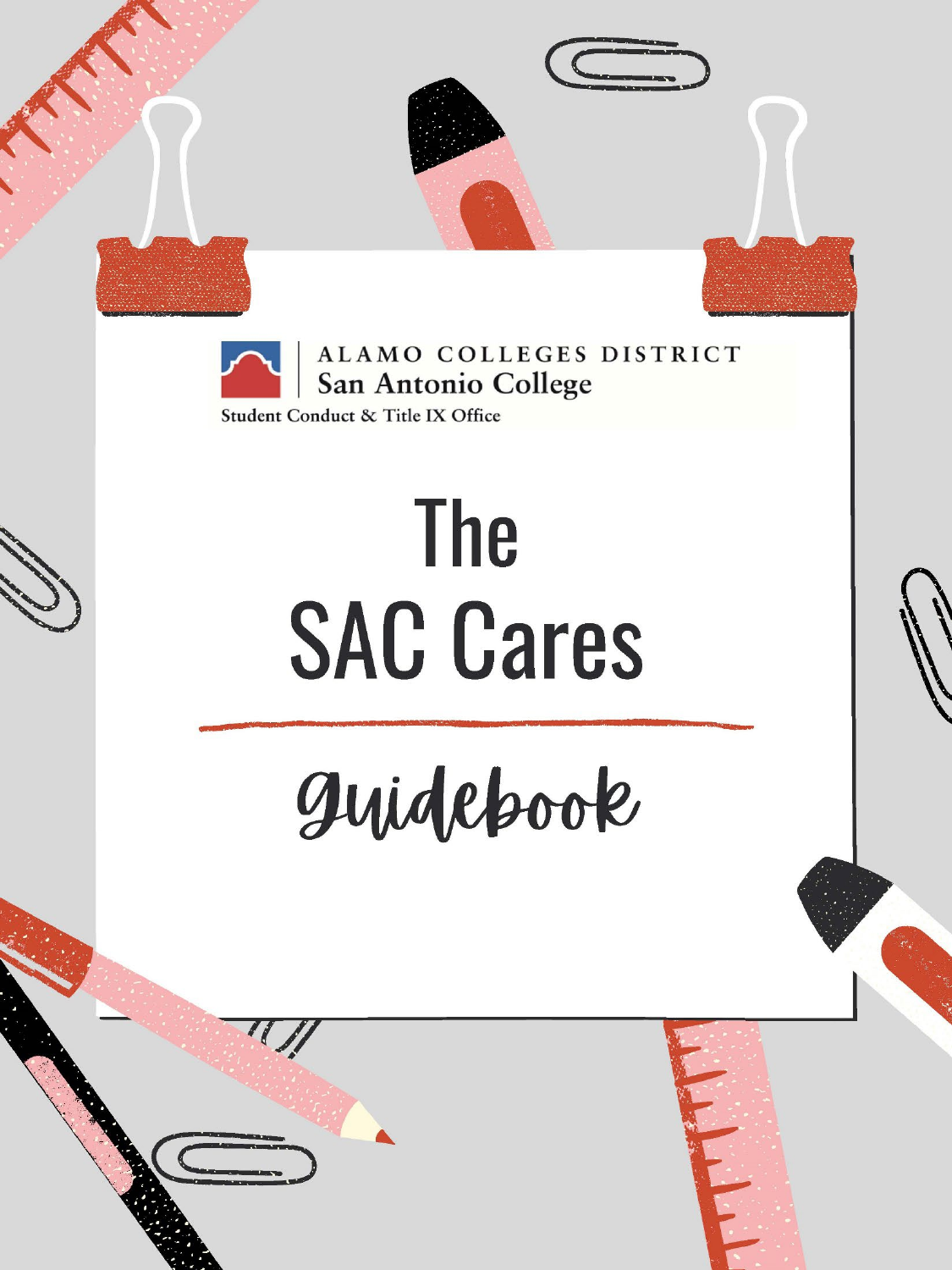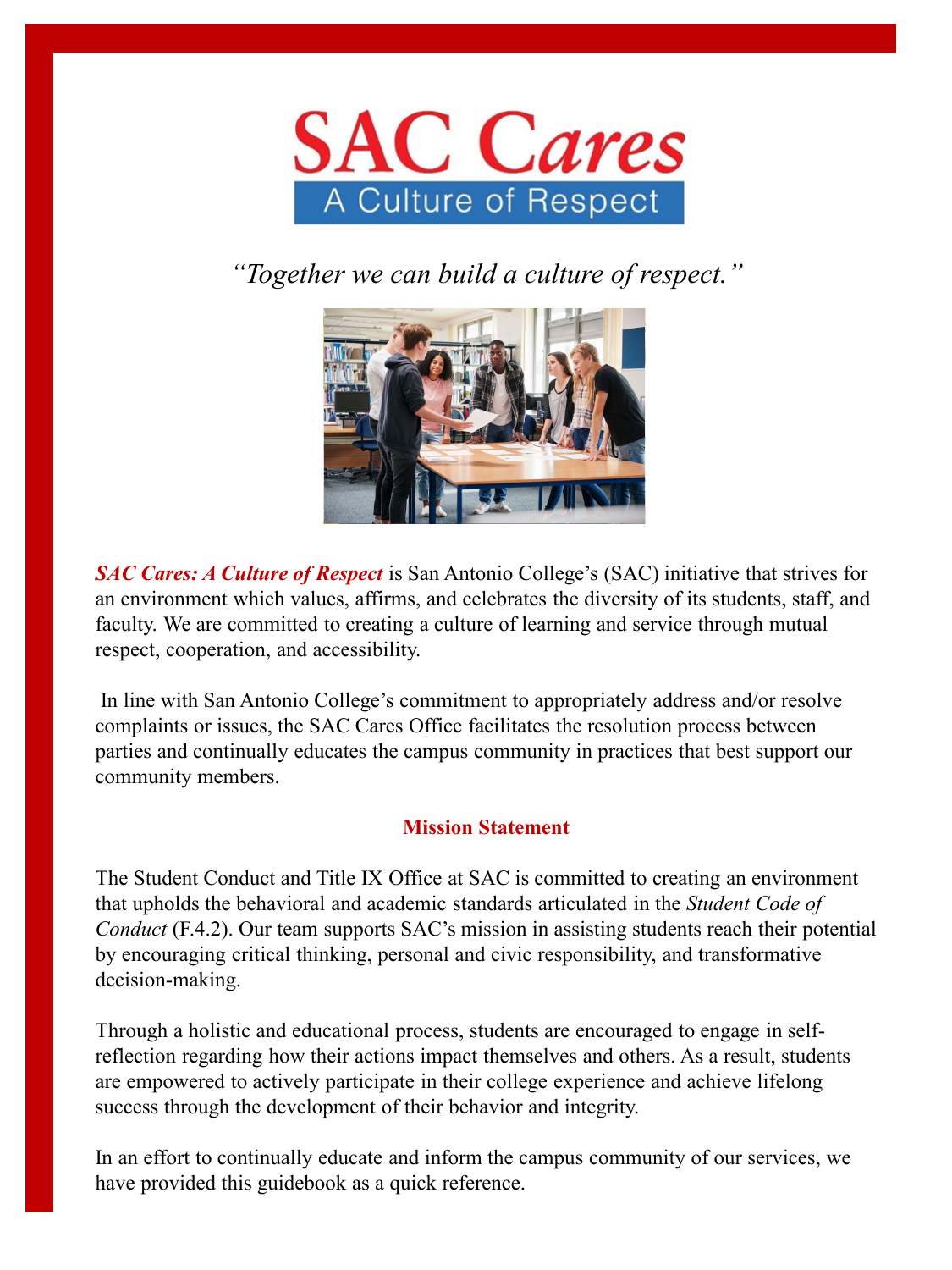

*"Together we can build a culture of respect."*



*SAC Cares: A Culture of Respect* is San Antonio College's (SAC) initiative that strives for an environment which values, affirms, and celebrates the diversity of its students, staff, and faculty. We are committed to creating a culture of learning and service through mutual respect, cooperation, and accessibility.

In line with San Antonio College's commitment to appropriately address and/or resolve complaints or issues, the SAC Cares Office facilitates the resolution process between parties and continually educates the campus community in practices that best support our community members.

### **Mission Statement**

The Student Conduct and Title IX Office at SAC is committed to creating an environment that upholds the behavioral and academic standards articulated in the *Student Code of Conduct* (F.4.2). Our team supports SAC's mission in assisting students reach their potential by encouraging critical thinking, personal and civic responsibility, and transformative decision-making.

Through a holistic and educational process, students are encouraged to engage in selfreflection regarding how their actions impact themselves and others. As a result, students are empowered to actively participate in their college experience and achieve lifelong success through the development of their behavior and integrity.

In an effort to continually educate and inform the campus community of our services, we have provided this guidebook as a quick reference.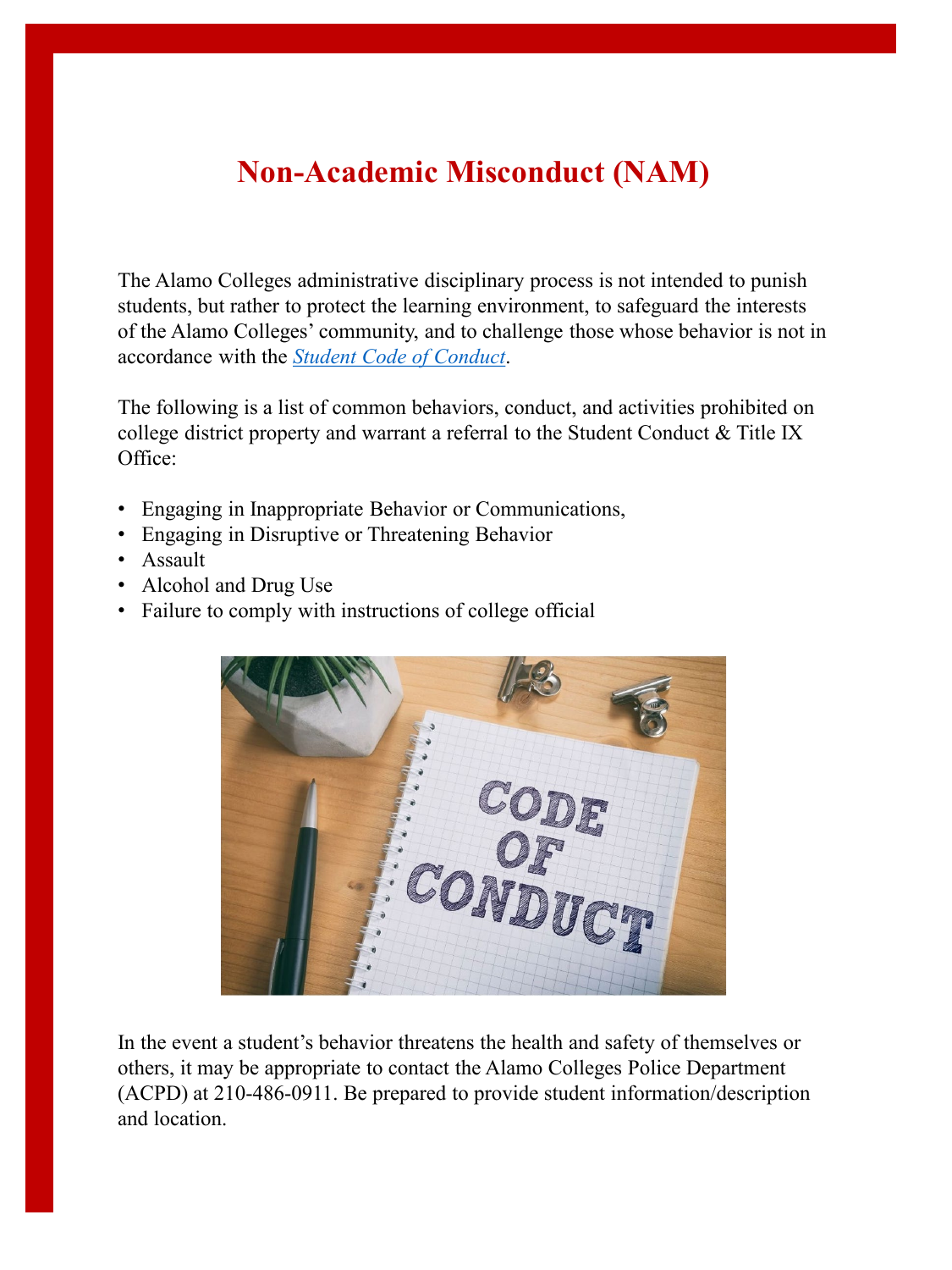# **Non-Academic Misconduct (NAM)**

The Alamo Colleges administrative disciplinary process is not intended to punish students, but rather to protect the learning environment, to safeguard the interests of the Alamo Colleges' community, and to challenge those whose behavior is not in accordance with the *[Student Code of Conduct](https://www.alamo.edu/contentassets/753a25fb1f9e4983bcf87564c00f54d3/f.4.2.1-procedure4.pdf)*.

The following is a list of common behaviors, conduct, and activities prohibited on college district property and warrant a referral to the Student Conduct & Title IX Office:

- Engaging in Inappropriate Behavior or Communications,
- Engaging in Disruptive or Threatening Behavior
- Assault
- Alcohol and Drug Use
- Failure to comply with instructions of college official



In the event a student's behavior threatens the health and safety of themselves or others, it may be appropriate to contact the Alamo Colleges Police Department (ACPD) at 210-486-0911. Be prepared to provide student information/description and location.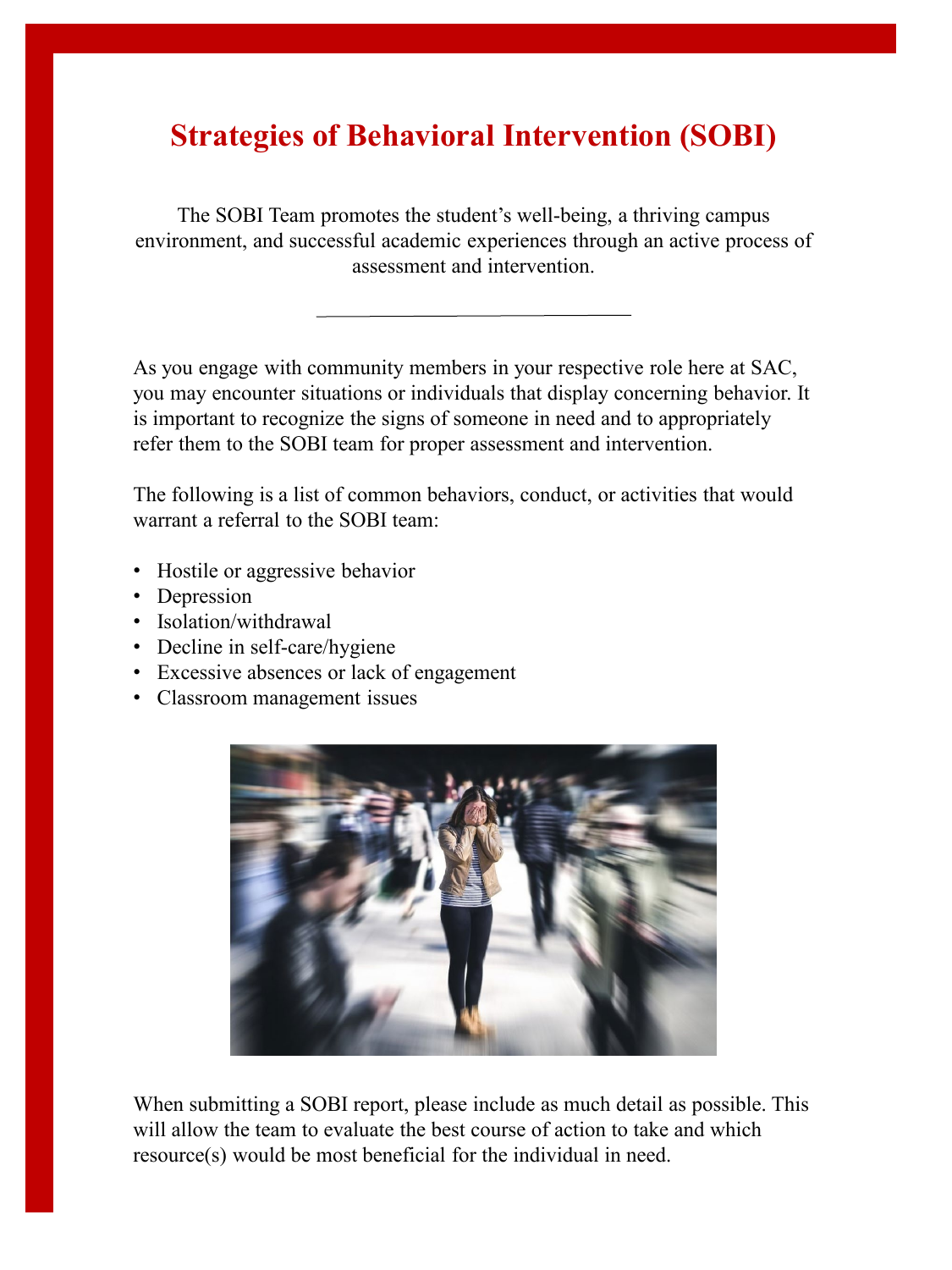## **Strategies of Behavioral Intervention (SOBI)**

The SOBI Team promotes the student's well-being, a thriving campus environment, and successful academic experiences through an active process of assessment and intervention.

As you engage with community members in your respective role here at SAC, you may encounter situations or individuals that display concerning behavior. It is important to recognize the signs of someone in need and to appropriately refer them to the SOBI team for proper assessment and intervention.

The following is a list of common behaviors, conduct, or activities that would warrant a referral to the SOBI team:

- Hostile or aggressive behavior
- Depression
- Isolation/withdrawal
- Decline in self-care/hygiene
- Excessive absences or lack of engagement
- Classroom management issues



When submitting a SOBI report, please include as much detail as possible. This will allow the team to evaluate the best course of action to take and which resource(s) would be most beneficial for the individual in need.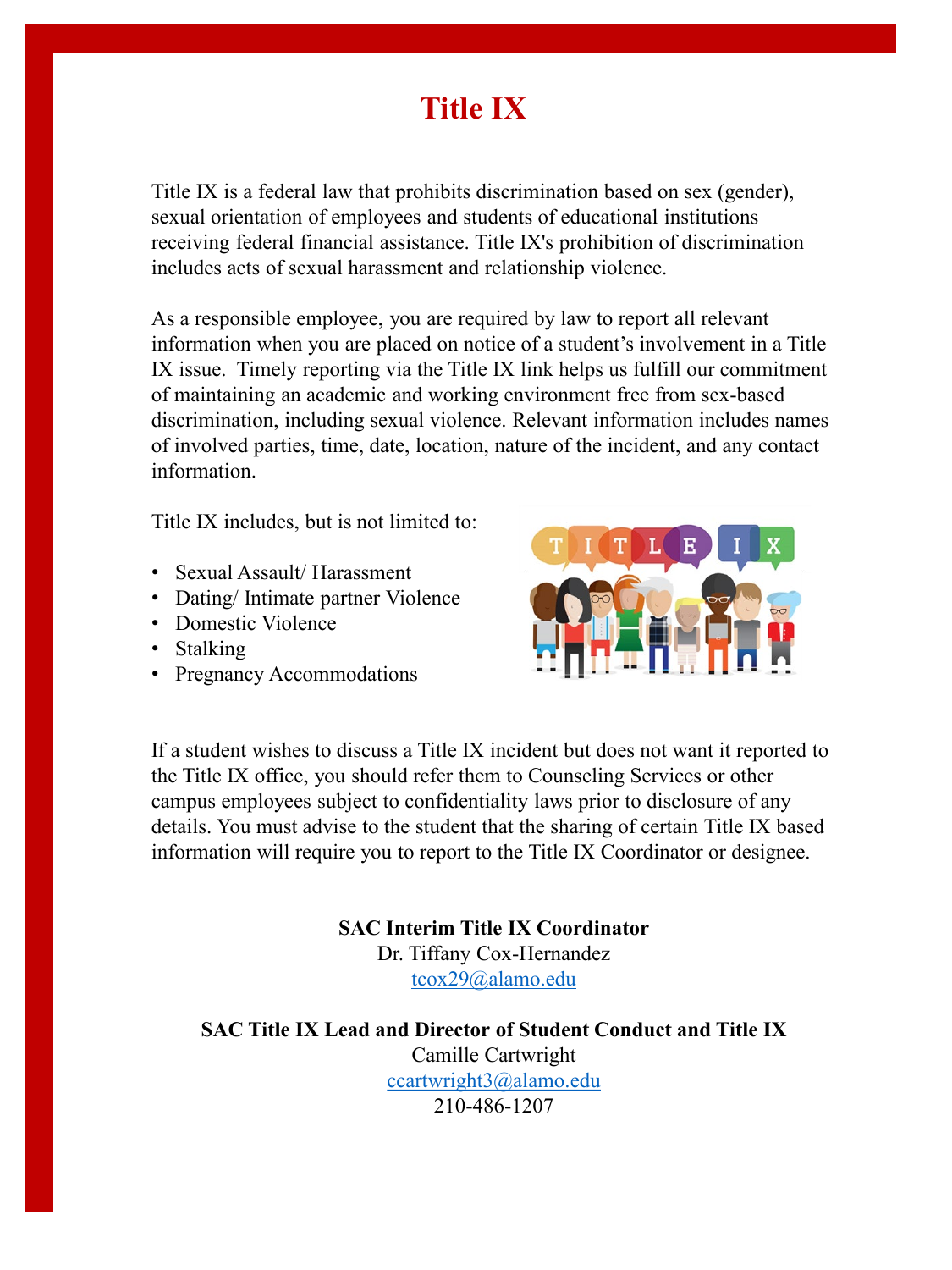## **Title IX**

Title IX is a federal law that prohibits discrimination based on sex (gender), sexual orientation of employees and students of educational institutions receiving federal financial assistance. Title IX's prohibition of discrimination includes acts of sexual harassment and relationship violence.

As a responsible employee, you are required by law to report all relevant information when you are placed on notice of a student's involvement in a Title IX issue. Timely reporting via the Title IX link helps us fulfill our commitment of maintaining an academic and working environment free from sex-based discrimination, including sexual violence. Relevant information includes names of involved parties, time, date, location, nature of the incident, and any contact information.

Title IX includes, but is not limited to:

- Sexual Assault/ Harassment
- Dating/Intimate partner Violence
- Domestic Violence
- Stalking
- Pregnancy Accommodations



If a student wishes to discuss a Title IX incident but does not want it reported to the Title IX office, you should refer them to Counseling Services or other campus employees subject to confidentiality laws prior to disclosure of any details. You must advise to the student that the sharing of certain Title IX based information will require you to report to the Title IX Coordinator or designee.

> **SAC Interim Title IX Coordinator** Dr. Tiffany Cox-Hernandez [tcox29@alamo.edu](mailto:tcox29@alamo.edu)

**SAC Title IX Lead and Director of Student Conduct and Title IX**  Camille Cartwright [ccartwright3@alamo.edu](mailto:ccartwright3@Alamo.edu) 210-486-1207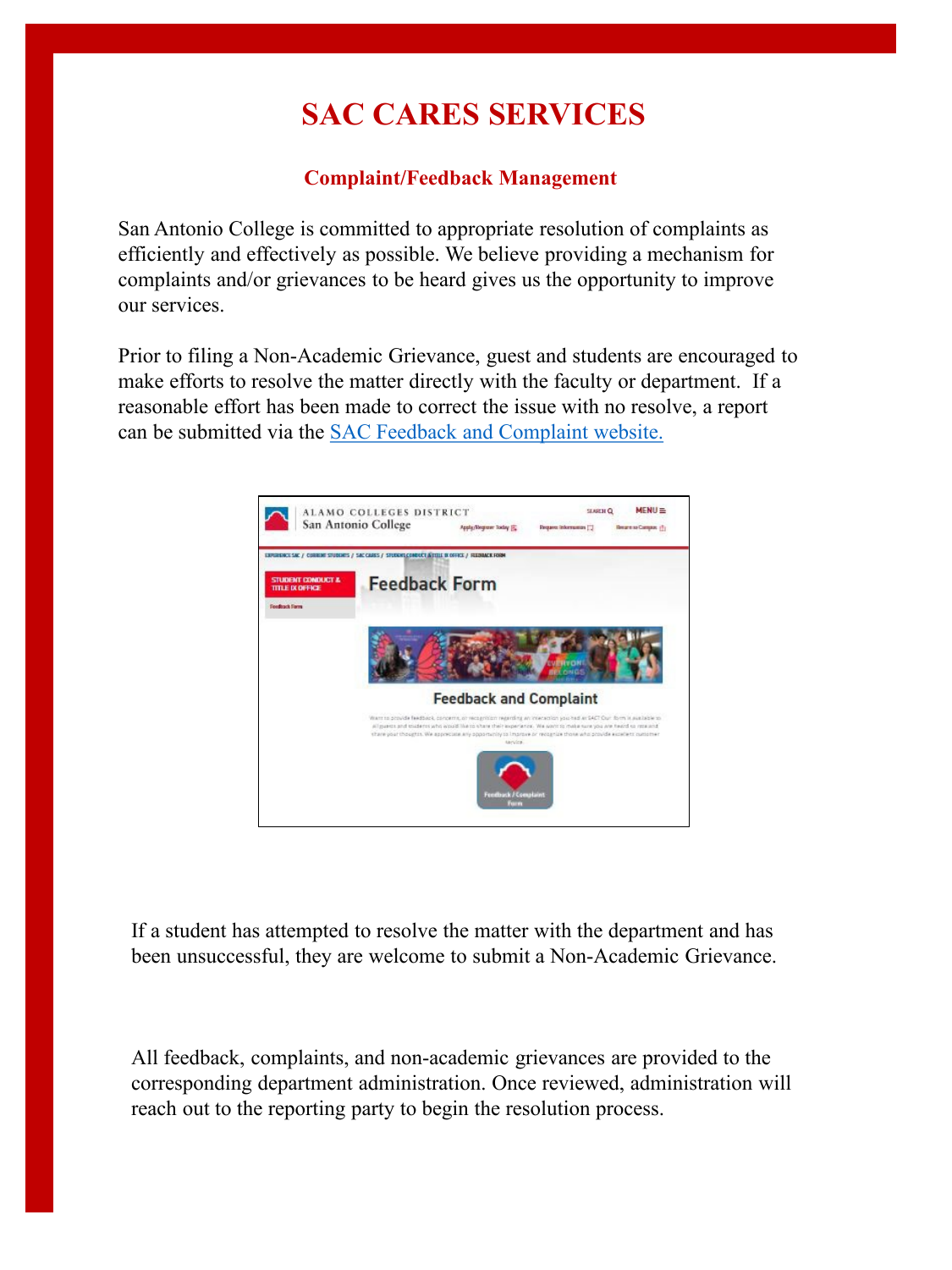# **SAC CARES SERVICES**

### **Complaint/Feedback Management**

San Antonio College is committed to appropriate resolution of complaints as efficiently and effectively as possible. We believe providing a mechanism for complaints and/or grievances to be heard gives us the opportunity to improve our services.

Prior to filing a Non-Academic Grievance, guest and students are encouraged to make efforts to resolve the matter directly with the faculty or department. If a reasonable effort has been made to correct the issue with no resolve, a report can be submitted via the [SAC Feedback and Complaint website.](https://www.alamo.edu/sac/experience-sac/current-students/sac-cares/student-conduct--title-ix-office/student-survey-database/)



If a student has attempted to resolve the matter with the department and has been unsuccessful, they are welcome to submit a Non-Academic Grievance.

All feedback, complaints, and non-academic grievances are provided to the corresponding department administration. Once reviewed, administration will reach out to the reporting party to begin the resolution process.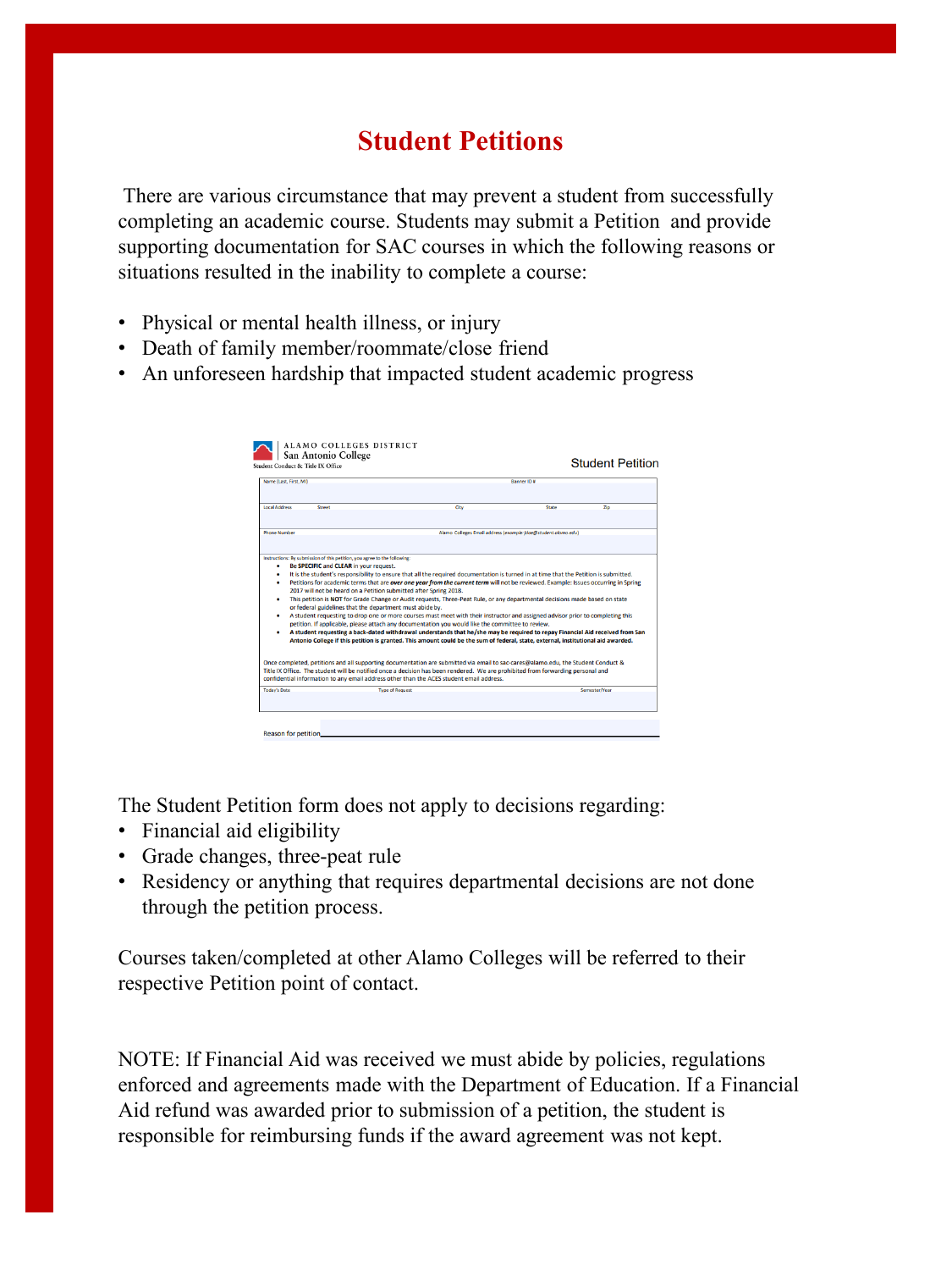## **Student Petitions**

There are various circumstance that may prevent a student from successfully completing an academic course. Students may submit a Petition and provide supporting documentation for SAC courses in which the following reasons or situations resulted in the inability to complete a course:

- Physical or mental health illness, or injury
- Death of family member/roommate/close friend
- An unforeseen hardship that impacted student academic progress

| Name (Last, First, MI)                |                                                                                                                                                                                                                                                                                                                                                                                                                                                                                                                                                                                                                                                                                                                                                                                                                                                                                                                                                                                                                                                                                                                                                                                        | <b>Ranner ID #</b>                                             |              |    |
|---------------------------------------|----------------------------------------------------------------------------------------------------------------------------------------------------------------------------------------------------------------------------------------------------------------------------------------------------------------------------------------------------------------------------------------------------------------------------------------------------------------------------------------------------------------------------------------------------------------------------------------------------------------------------------------------------------------------------------------------------------------------------------------------------------------------------------------------------------------------------------------------------------------------------------------------------------------------------------------------------------------------------------------------------------------------------------------------------------------------------------------------------------------------------------------------------------------------------------------|----------------------------------------------------------------|--------------|----|
| <b>Local Address</b><br><b>Street</b> |                                                                                                                                                                                                                                                                                                                                                                                                                                                                                                                                                                                                                                                                                                                                                                                                                                                                                                                                                                                                                                                                                                                                                                                        | City                                                           | <b>State</b> | Zo |
|                                       |                                                                                                                                                                                                                                                                                                                                                                                                                                                                                                                                                                                                                                                                                                                                                                                                                                                                                                                                                                                                                                                                                                                                                                                        |                                                                |              |    |
| <b>Phone Number</b>                   |                                                                                                                                                                                                                                                                                                                                                                                                                                                                                                                                                                                                                                                                                                                                                                                                                                                                                                                                                                                                                                                                                                                                                                                        | Alamo Colleges Email address (exomple: jdoe@student.olomo.edu) |              |    |
| ٠<br>٠<br>٠<br>٠                      | Petitions for academic terms that are over one year from the current term will not be reviewed. Example: Issues occurring in Spring<br>2017 will not be heard on a Petition submitted after Spring 2018.<br>This petition is NOT for Grade Change or Audit requests, Three-Peat Rule, or any departmental decisions made based on state<br>or federal guidelines that the department must abide by.<br>A student requesting to drop one or more courses must meet with their instructor and assigned advisor prior to completing this<br>petition. If applicable, please attach any documentation you would like the committee to review.<br>A student requesting a back-dated withdrawal understands that he/she may be required to repay Financial Aid received from San<br>Antonio College if this petition is granted. This amount could be the sum of federal, state, external, institutional aid awarded.<br>Once completed, petitions and all supporting documentation are submitted via email to sac-cares@alamo.edu, the Student Conduct &<br>Title IX Office. The student will be notified once a decision has been rendered. We are prohibited from forwarding personal and |                                                                |              |    |
|                                       | confidential information to any email address other than the ACES student email address.                                                                                                                                                                                                                                                                                                                                                                                                                                                                                                                                                                                                                                                                                                                                                                                                                                                                                                                                                                                                                                                                                               |                                                                |              |    |

The Student Petition form does not apply to decisions regarding:

- Financial aid eligibility
- Grade changes, three-peat rule
- Residency or anything that requires departmental decisions are not done through the petition process.

Courses taken/completed at other Alamo Colleges will be referred to their respective Petition point of contact.

NOTE: If Financial Aid was received we must abide by policies, regulations enforced and agreements made with the Department of Education. If a Financial Aid refund was awarded prior to submission of a petition, the student is responsible for reimbursing funds if the award agreement was not kept.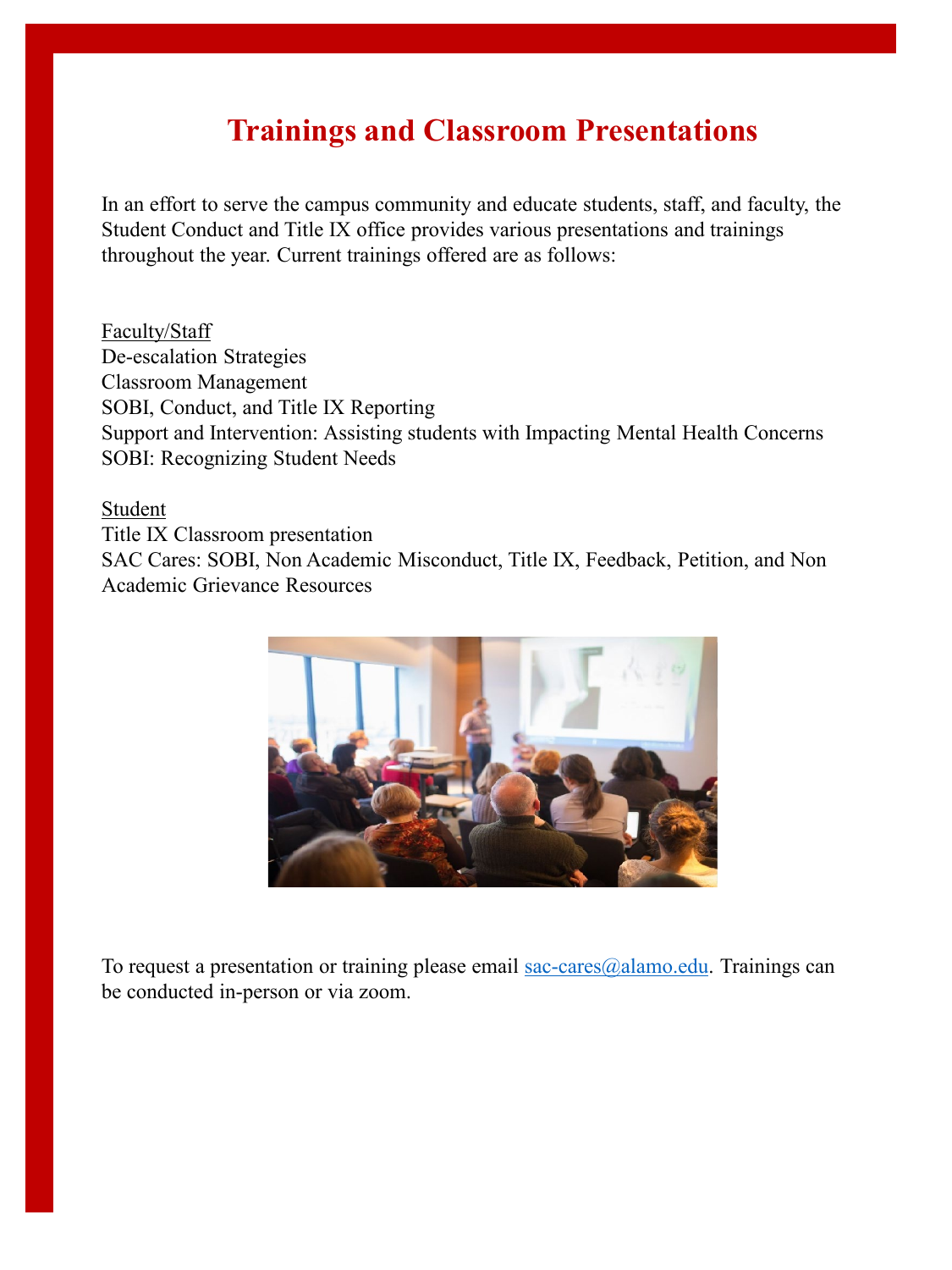## **Trainings and Classroom Presentations**

In an effort to serve the campus community and educate students, staff, and faculty, the Student Conduct and Title IX office provides various presentations and trainings throughout the year. Current trainings offered are as follows:

Faculty/Staff De-escalation Strategies Classroom Management SOBI, Conduct, and Title IX Reporting Support and Intervention: Assisting students with Impacting Mental Health Concerns SOBI: Recognizing Student Needs

Student

Title IX Classroom presentation SAC Cares: SOBI, Non Academic Misconduct, Title IX, Feedback, Petition, and Non Academic Grievance Resources



To request a presentation or training please email sac-cares $@$ alamo.edu. Trainings can be conducted in-person or via zoom.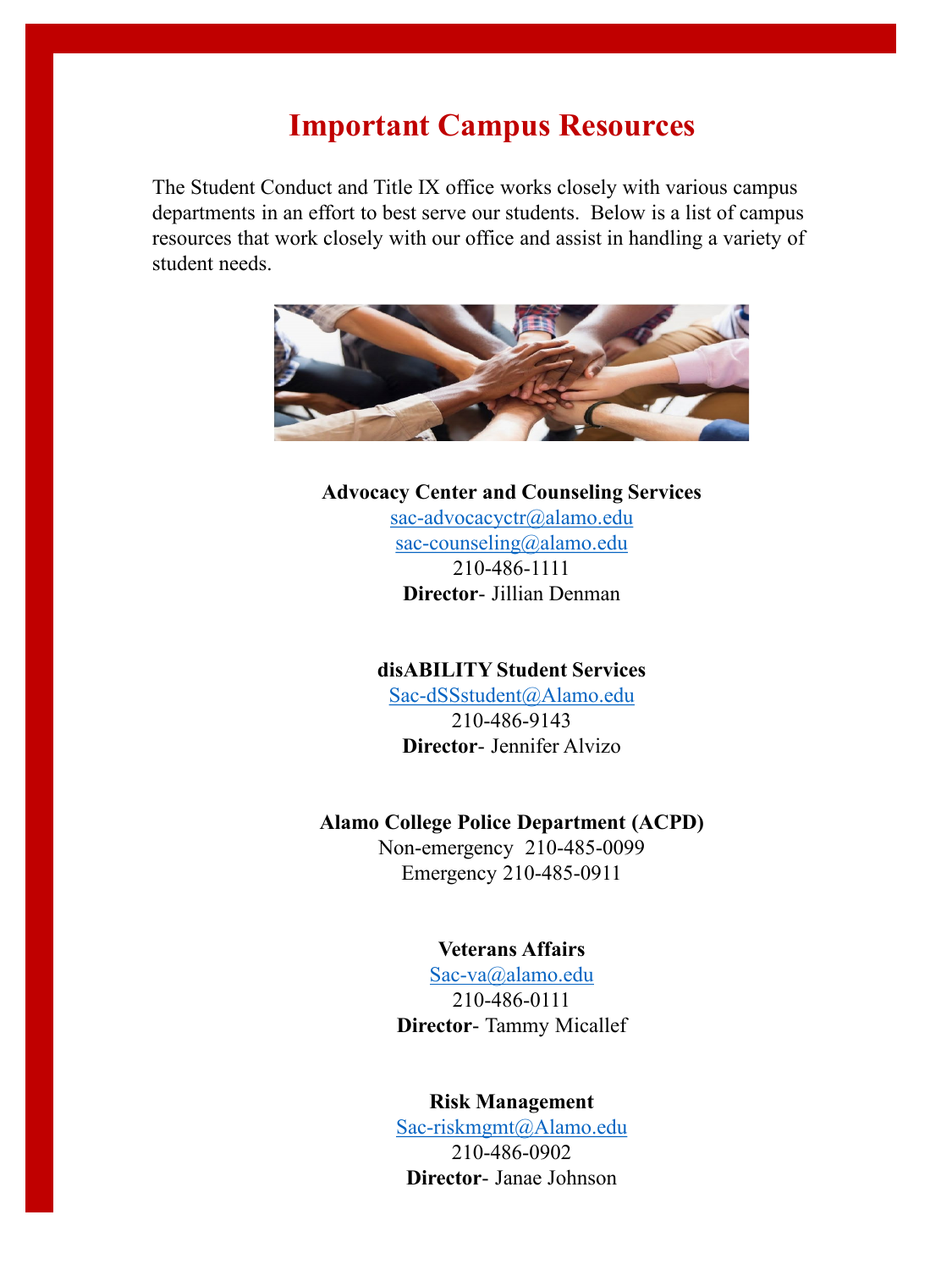## **Important Campus Resources**

The Student Conduct and Title IX office works closely with various campus departments in an effort to best serve our students. Below is a list of campus resources that work closely with our office and assist in handling a variety of student needs.



#### **Advocacy Center and Counseling Services**

[sac-advocacyctr@alamo.edu](mailto:sac-advocacyctr@alamo.edu) [sac-counseling@alamo.edu](mailto:sac-counseling@alamo.edu) 210-486-1111 **Director**- Jillian Denman

#### **disABILITY Student Services**

[Sac-dSSstudent@Alamo.edu](mailto:Sac-dSSstudent@Alamo.edu) 210-486-9143 **Director**- Jennifer Alvizo

#### **Alamo College Police Department (ACPD)**

Non-emergency 210-485-0099 Emergency 210-485-0911

### **Veterans Affairs**

[Sac-va@alamo.edu](mailto:Sac-va@alamo.edu) 210-486-0111 **Director**- Tammy Micallef

#### **Risk Management**

[Sac-riskmgmt@Alamo.edu](mailto:Sac-riskmgmt@Alamo.edu) 210-486-0902 **Director**- Janae Johnson